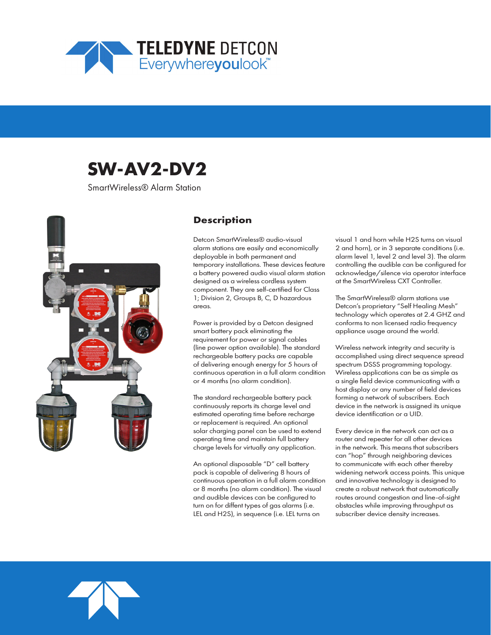

# **SW-AV2-DV2**

SmartWireless® Alarm Station



### **Description**

Detcon SmartWireless® audio-visual alarm stations are easily and economically deployable in both permanent and temporary installations. These devices feature a battery powered audio visual alarm station designed as a wireless cordless system component. They are self-certified for Class 1; Division 2, Groups B, C, D hazardous areas.

Power is provided by a Detcon designed smart battery pack eliminating the requirement for power or signal cables (line power option available). The standard rechargeable battery packs are capable of delivering enough energy for 5 hours of continuous operation in a full alarm condition or 4 months (no alarm condition).

The standard rechargeable battery pack continuously reports its charge level and estimated operating time before recharge or replacement is required. An optional solar charging panel can be used to extend operating time and maintain full battery charge levels for virtually any application.

An optional disposable "D" cell battery pack is capable of delivering 8 hours of continuous operation in a full alarm condition or 8 months (no alarm condition). The visual and audible devices can be configured to turn on for diffent types of gas alarms (i.e. LEL and H2S), in sequence (i.e. LEL turns on

visual 1 and horn while H2S turns on visual 2 and horn), or in 3 separate conditions (i.e. alarm level 1, level 2 and level 3). The alarm controlling the audible can be configured for acknowledge/silence via operator interface at the SmartWireless CXT Controller.

The SmartWireless® alarm stations use Detcon's proprietary "Self Healing Mesh" technology which operates at 2.4 GHZ and conforms to non licensed radio frequency appliance usage around the world.

Wireless network integrity and security is accomplished using direct sequence spread spectrum DSSS programming topology. Wireless applications can be as simple as a single field device communicating with a host display or any number of field devices forming a network of subscribers. Each device in the network is assigned its unique device identification or a UID.

Every device in the network can act as a router and repeater for all other devices in the network. This means that subscribers can "hop" through neighboring devices to communicate with each other thereby widening network access points. This unique and innovative technology is designed to create a robust network that automatically routes around congestion and line-of-sight obstacles while improving throughput as subscriber device density increases.

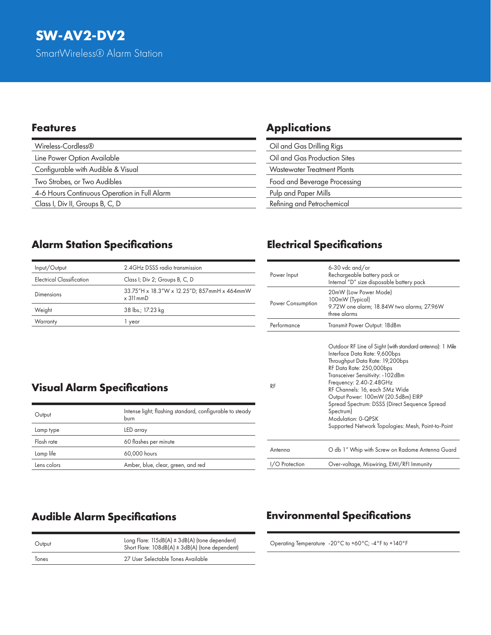| Wireless-Cordless®                           |
|----------------------------------------------|
| Line Power Option Available                  |
| Configurable with Audible & Visual           |
| Two Strobes, or Two Audibles                 |
| 4-6 Hours Continuous Operation in Full Alarm |
| Class I, Div II, Groups B, C, D              |

### **Features Applications**

| Oil and Gas Drilling Rigs          |
|------------------------------------|
| Oil and Gas Production Sites       |
| <b>Wastewater Treatment Plants</b> |
| Food and Beverage Processing       |
| Pulp and Paper Mills               |
| Refining and Petrochemical         |
|                                    |

## **Alarm Station Specifications**

| Input/Output              | 2.4 GHz DSSS radio transmission                                    |
|---------------------------|--------------------------------------------------------------------|
| Electrical Classification | Class I; Div 2; Groups B, C, D                                     |
| Dimensions                | 33.75"H x 18.3"W x 12.25"D; 857mmH x 464mmW<br>$\times$ 311 mm $D$ |
| Weight                    | 38 lbs.; 17.23 kg                                                  |
| Warranty                  | vear                                                               |

## **Electrical Specifications**

| Power Input       | 6-30 vdc and/or<br>Rechargeable battery pack or<br>Internal "D" size disposable battery pack                                                                                                                                                                                                                                                                                                                                               |
|-------------------|--------------------------------------------------------------------------------------------------------------------------------------------------------------------------------------------------------------------------------------------------------------------------------------------------------------------------------------------------------------------------------------------------------------------------------------------|
| Power Consumption | 20mW (Low Power Mode)<br>100mW (Typical)<br>9.72W one alarm; 18.84W two alarms; 27.96W<br>three alarms                                                                                                                                                                                                                                                                                                                                     |
| Performance       | Transmit Power Output: 18dBm                                                                                                                                                                                                                                                                                                                                                                                                               |
| RF                | Outdoor RF Line of Sight (with standard antenna): 1 Mile<br>Interface Data Rate: 9,600bps<br>Throughput Data Rate: 19,200bps<br>RF Data Rate: 250,000bps<br>Transceiver Sensitivity: - 102dBm<br>Frequency: 2.40-2.48GHz<br>RF Channels: 16, each 5Mz Wide<br>Output Power: 100mW (20.5dBm) EIRP<br>Spread Spectrum: DSSS (Direct Sequence Spread<br>Spectrum)<br>Modulation: 0-QPSK<br>Supported Network Topologies: Mesh, Point-to-Point |
| Antenna           | O db 1" Whip with Screw on Radome Antenna Guard                                                                                                                                                                                                                                                                                                                                                                                            |
| I/O Protection    | Over-voltage, Miswiring, EMI/RFI Immunity                                                                                                                                                                                                                                                                                                                                                                                                  |

## **Visual Alarm Specifications**

| Output      | Intense light; flashing standard, configurable to steady<br>burn |
|-------------|------------------------------------------------------------------|
| Lamp type   | LED array                                                        |
| Flash rate  | 60 flashes per minute                                            |
| Lamp life   | 60,000 hours                                                     |
| Lens colors | Amber, blue, clear, green, and red                               |

| Output | Long Flare: $115dB(A) \pm 3dB(A)$ (tone dependent)<br>Short Flare: 108dB(A) ± 3dB(A) (tone dependent) |
|--------|-------------------------------------------------------------------------------------------------------|
| Tones  | 27 User Selectable Tones Available                                                                    |
|        |                                                                                                       |

## **Audible Alarm Specifications Environmental Specifications**

Operating Temperature -20°C to +60°C; -4°F to +140°F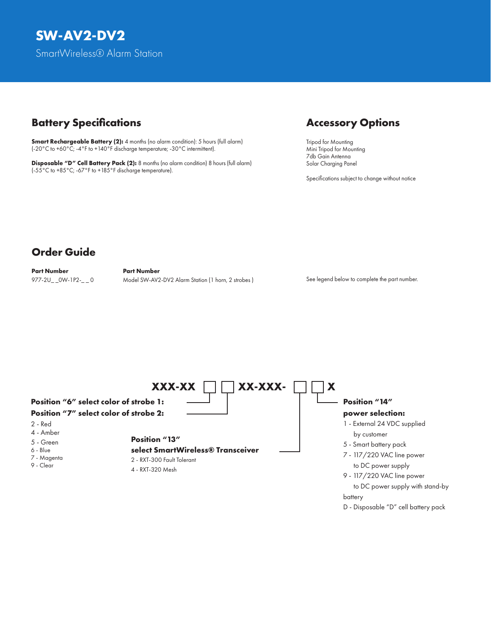### **Battery Specifications Accessory Options**

**Smart Rechargeable Battery (2):** 4 months (no alarm condition): 5 hours (full alarm) (-20°C to +60°C; -4°F to +140°F discharge temperature; -30°C intermittent).

**Disposable "D" Cell Battery Pack (2):** 8 months (no alarm condition) 8 hours (full alarm) (-55°C to +85°C; -67°F to +185°F discharge temperature).

Tripod for Mounting Mini Tripod for Mounting 7db Gain Antenna Solar Charging Panel

Specifications subject to change without notice

## **Order Guide**

**Part Number Part Number**

977-2U OW-1P2- Q Model SW-AV2-DV2 Alarm Station (1 horn, 2 strobes )

See legend below to complete the part number.



D - Disposable "D" cell battery pack